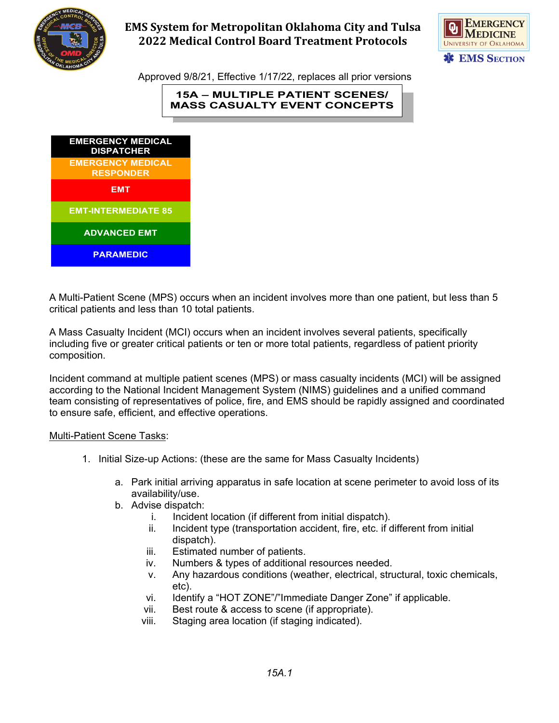



Approved 9/8/21, Effective 1/17/22, replaces all prior versions

## **15A – MULTIPLE PATIENT SCENES/ MASS CASUALTY EVENT CONCEPTS**



A Multi-Patient Scene (MPS) occurs when an incident involves more than one patient, but less than 5 critical patients and less than 10 total patients.

A Mass Casualty Incident (MCI) occurs when an incident involves several patients, specifically including five or greater critical patients or ten or more total patients, regardless of patient priority composition.

Incident command at multiple patient scenes (MPS) or mass casualty incidents (MCI) will be assigned according to the National Incident Management System (NIMS) guidelines and a unified command team consisting of representatives of police, fire, and EMS should be rapidly assigned and coordinated to ensure safe, efficient, and effective operations.

#### Multi-Patient Scene Tasks:

- 1. Initial Size-up Actions: (these are the same for Mass Casualty Incidents)
	- a. Park initial arriving apparatus in safe location at scene perimeter to avoid loss of its availability/use.
	- b. Advise dispatch:
		- i. Incident location (if different from initial dispatch).
		- ii. Incident type (transportation accident, fire, etc. if different from initial dispatch).
		- iii. Estimated number of patients.
		- iv. Numbers & types of additional resources needed.
		- v. Any hazardous conditions (weather, electrical, structural, toxic chemicals, etc).
		- vi. Identify a "HOT ZONE"/"Immediate Danger Zone" if applicable.
		- vii. Best route & access to scene (if appropriate).
		- viii. Staging area location (if staging indicated).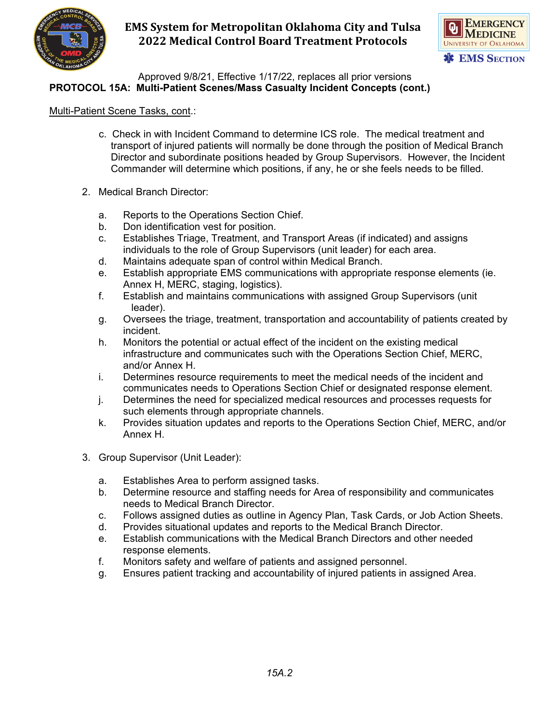



 Approved 9/8/21, Effective 1/17/22, replaces all prior versions **PROTOCOL 15A: Multi-Patient Scenes/Mass Casualty Incident Concepts (cont.)**

### Multi-Patient Scene Tasks, cont.:

- c. Check in with Incident Command to determine ICS role. The medical treatment and transport of injured patients will normally be done through the position of Medical Branch Director and subordinate positions headed by Group Supervisors. However, the Incident Commander will determine which positions, if any, he or she feels needs to be filled.
- 2. Medical Branch Director:
	- a. Reports to the Operations Section Chief.
	- b. Don identification vest for position.
	- c. Establishes Triage, Treatment, and Transport Areas (if indicated) and assigns individuals to the role of Group Supervisors (unit leader) for each area.
	- d. Maintains adequate span of control within Medical Branch.
	- e. Establish appropriate EMS communications with appropriate response elements (ie. Annex H, MERC, staging, logistics).
	- f. Establish and maintains communications with assigned Group Supervisors (unit leader).
	- g. Oversees the triage, treatment, transportation and accountability of patients created by incident.
	- h. Monitors the potential or actual effect of the incident on the existing medical infrastructure and communicates such with the Operations Section Chief, MERC, and/or Annex H.
	- i. Determines resource requirements to meet the medical needs of the incident and communicates needs to Operations Section Chief or designated response element.
	- j. Determines the need for specialized medical resources and processes requests for such elements through appropriate channels.
	- k. Provides situation updates and reports to the Operations Section Chief, MERC, and/or Annex H.
- 3. Group Supervisor (Unit Leader):
	- a. Establishes Area to perform assigned tasks.
	- b. Determine resource and staffing needs for Area of responsibility and communicates needs to Medical Branch Director.
	- c. Follows assigned duties as outline in Agency Plan, Task Cards, or Job Action Sheets.
	- d. Provides situational updates and reports to the Medical Branch Director.
	- e. Establish communications with the Medical Branch Directors and other needed response elements.
	- f. Monitors safety and welfare of patients and assigned personnel.
	- g. Ensures patient tracking and accountability of injured patients in assigned Area.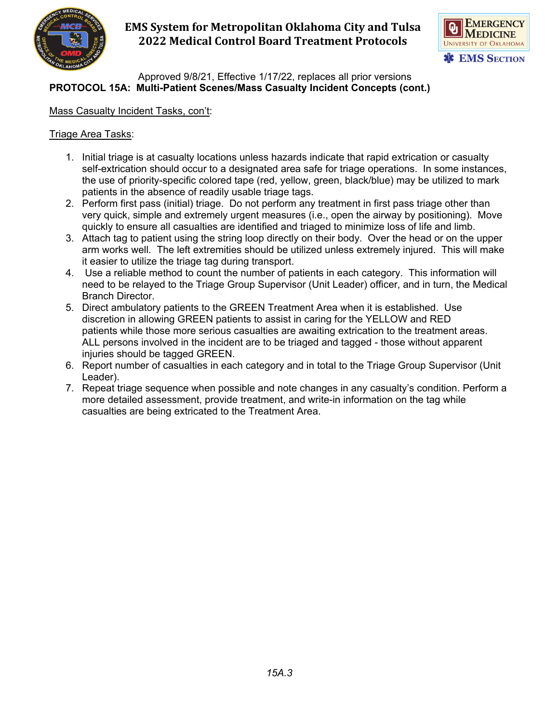



 Approved 9/8/21, Effective 1/17/22, replaces all prior versions **PROTOCOL 15A: Multi-Patient Scenes/Mass Casualty Incident Concepts (cont.)**

### Mass Casualty Incident Tasks, con't:

### Triage Area Tasks:

- 1. Initial triage is at casualty locations unless hazards indicate that rapid extrication or casualty self-extrication should occur to a designated area safe for triage operations. In some instances, the use of priority-specific colored tape (red, yellow, green, black/blue) may be utilized to mark patients in the absence of readily usable triage tags.
- 2. Perform first pass (initial) triage. Do not perform any treatment in first pass triage other than very quick, simple and extremely urgent measures (i.e., open the airway by positioning). Move quickly to ensure all casualties are identified and triaged to minimize loss of life and limb.
- 3. Attach tag to patient using the string loop directly on their body. Over the head or on the upper arm works well. The left extremities should be utilized unless extremely injured. This will make it easier to utilize the triage tag during transport.
- 4. Use a reliable method to count the number of patients in each category. This information will need to be relayed to the Triage Group Supervisor (Unit Leader) officer, and in turn, the Medical Branch Director.
- 5. Direct ambulatory patients to the GREEN Treatment Area when it is established. Use discretion in allowing GREEN patients to assist in caring for the YELLOW and RED patients while those more serious casualties are awaiting extrication to the treatment areas. ALL persons involved in the incident are to be triaged and tagged - those without apparent injuries should be tagged GREEN.
- 6. Report number of casualties in each category and in total to the Triage Group Supervisor (Unit Leader).
- 7. Repeat triage sequence when possible and note changes in any casualty's condition. Perform a more detailed assessment, provide treatment, and write-in information on the tag while casualties are being extricated to the Treatment Area.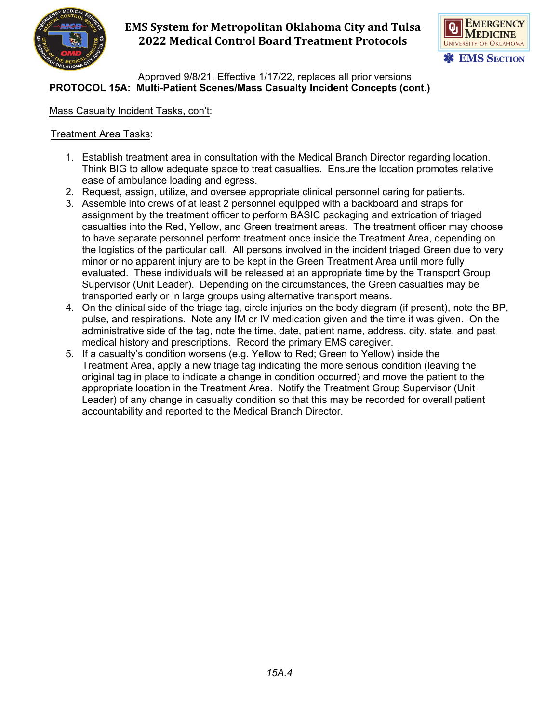



 Approved 9/8/21, Effective 1/17/22, replaces all prior versions **PROTOCOL 15A: Multi-Patient Scenes/Mass Casualty Incident Concepts (cont.)**

### Mass Casualty Incident Tasks, con't:

#### Treatment Area Tasks:

- 1. Establish treatment area in consultation with the Medical Branch Director regarding location. Think BIG to allow adequate space to treat casualties. Ensure the location promotes relative ease of ambulance loading and egress.
- 2. Request, assign, utilize, and oversee appropriate clinical personnel caring for patients.
- 3. Assemble into crews of at least 2 personnel equipped with a backboard and straps for assignment by the treatment officer to perform BASIC packaging and extrication of triaged casualties into the Red, Yellow, and Green treatment areas. The treatment officer may choose to have separate personnel perform treatment once inside the Treatment Area, depending on the logistics of the particular call. All persons involved in the incident triaged Green due to very minor or no apparent injury are to be kept in the Green Treatment Area until more fully evaluated. These individuals will be released at an appropriate time by the Transport Group Supervisor (Unit Leader). Depending on the circumstances, the Green casualties may be transported early or in large groups using alternative transport means.
- 4. On the clinical side of the triage tag, circle injuries on the body diagram (if present), note the BP, pulse, and respirations. Note any IM or IV medication given and the time it was given. On the administrative side of the tag, note the time, date, patient name, address, city, state, and past medical history and prescriptions. Record the primary EMS caregiver.
- 5. If a casualty's condition worsens (e.g. Yellow to Red; Green to Yellow) inside the Treatment Area, apply a new triage tag indicating the more serious condition (leaving the original tag in place to indicate a change in condition occurred) and move the patient to the appropriate location in the Treatment Area. Notify the Treatment Group Supervisor (Unit Leader) of any change in casualty condition so that this may be recorded for overall patient accountability and reported to the Medical Branch Director.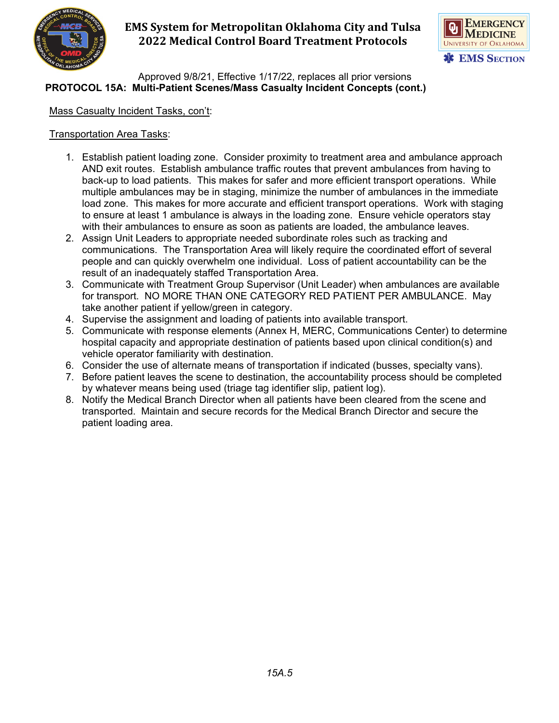



 Approved 9/8/21, Effective 1/17/22, replaces all prior versions **PROTOCOL 15A: Multi-Patient Scenes/Mass Casualty Incident Concepts (cont.)**

### Mass Casualty Incident Tasks, con't:

### Transportation Area Tasks:

- 1. Establish patient loading zone. Consider proximity to treatment area and ambulance approach AND exit routes. Establish ambulance traffic routes that prevent ambulances from having to back-up to load patients. This makes for safer and more efficient transport operations. While multiple ambulances may be in staging, minimize the number of ambulances in the immediate load zone. This makes for more accurate and efficient transport operations. Work with staging to ensure at least 1 ambulance is always in the loading zone. Ensure vehicle operators stay with their ambulances to ensure as soon as patients are loaded, the ambulance leaves.
- 2. Assign Unit Leaders to appropriate needed subordinate roles such as tracking and communications. The Transportation Area will likely require the coordinated effort of several people and can quickly overwhelm one individual. Loss of patient accountability can be the result of an inadequately staffed Transportation Area.
- 3. Communicate with Treatment Group Supervisor (Unit Leader) when ambulances are available for transport. NO MORE THAN ONE CATEGORY RED PATIENT PER AMBULANCE. May take another patient if yellow/green in category.
- 4. Supervise the assignment and loading of patients into available transport.
- 5. Communicate with response elements (Annex H, MERC, Communications Center) to determine hospital capacity and appropriate destination of patients based upon clinical condition(s) and vehicle operator familiarity with destination.
- 6. Consider the use of alternate means of transportation if indicated (busses, specialty vans).
- 7. Before patient leaves the scene to destination, the accountability process should be completed by whatever means being used (triage tag identifier slip, patient log).
- 8. Notify the Medical Branch Director when all patients have been cleared from the scene and transported. Maintain and secure records for the Medical Branch Director and secure the patient loading area.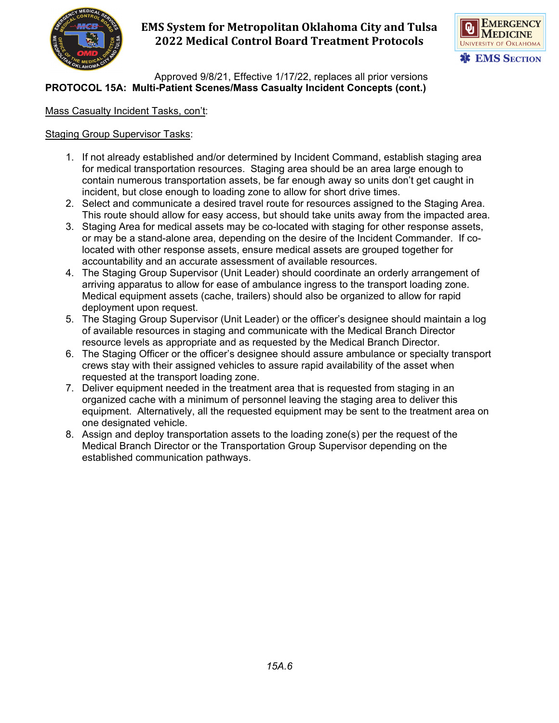



 Approved 9/8/21, Effective 1/17/22, replaces all prior versions **PROTOCOL 15A: Multi-Patient Scenes/Mass Casualty Incident Concepts (cont.)**

### Mass Casualty Incident Tasks, con't:

#### Staging Group Supervisor Tasks:

- 1. If not already established and/or determined by Incident Command, establish staging area for medical transportation resources. Staging area should be an area large enough to contain numerous transportation assets, be far enough away so units don't get caught in incident, but close enough to loading zone to allow for short drive times.
- 2. Select and communicate a desired travel route for resources assigned to the Staging Area. This route should allow for easy access, but should take units away from the impacted area.
- 3. Staging Area for medical assets may be co-located with staging for other response assets, or may be a stand-alone area, depending on the desire of the Incident Commander. If colocated with other response assets, ensure medical assets are grouped together for accountability and an accurate assessment of available resources.
- 4. The Staging Group Supervisor (Unit Leader) should coordinate an orderly arrangement of arriving apparatus to allow for ease of ambulance ingress to the transport loading zone. Medical equipment assets (cache, trailers) should also be organized to allow for rapid deployment upon request.
- 5. The Staging Group Supervisor (Unit Leader) or the officer's designee should maintain a log of available resources in staging and communicate with the Medical Branch Director resource levels as appropriate and as requested by the Medical Branch Director.
- 6. The Staging Officer or the officer's designee should assure ambulance or specialty transport crews stay with their assigned vehicles to assure rapid availability of the asset when requested at the transport loading zone.
- 7. Deliver equipment needed in the treatment area that is requested from staging in an organized cache with a minimum of personnel leaving the staging area to deliver this equipment. Alternatively, all the requested equipment may be sent to the treatment area on one designated vehicle.
- 8. Assign and deploy transportation assets to the loading zone(s) per the request of the Medical Branch Director or the Transportation Group Supervisor depending on the established communication pathways.